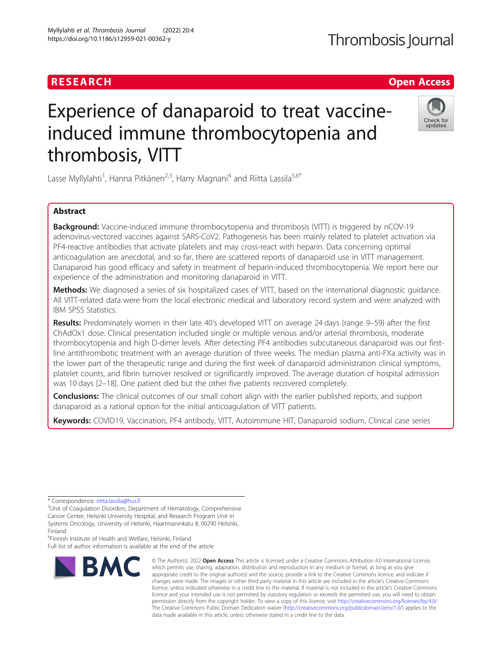# RESEARCH **CHE Open Access**

# Experience of danaparoid to treat vaccineinduced immune thrombocytopenia and thrombosis, VITT

Lasse Myllylahti<sup>1</sup>, Hanna Pitkänen<sup>2,3</sup>, Harry Magnani<sup>4</sup> and Riitta Lassila<sup>5,6\*</sup>

# Abstract

**Background:** Vaccine-induced immune thrombocytopenia and thrombosis (VITT) is triggered by nCOV-19 adenovirus-vectored vaccines against SARS-CoV2. Pathogenesis has been mainly related to platelet activation via PF4-reactive antibodies that activate platelets and may cross-react with heparin. Data concerning optimal anticoagulation are anecdotal, and so far, there are scattered reports of danaparoid use in VITT management. Danaparoid has good efficacy and safety in treatment of heparin-induced thrombocytopenia. We report here our experience of the administration and monitoring danaparoid in VITT.

Methods: We diagnosed a series of six hospitalized cases of VITT, based on the international diagnostic quidance. All VITT-related data were from the local electronic medical and laboratory record system and were analyzed with IBM SPSS Statistics.

Results: Predominately women in their late 40's developed VITT on average 24 days (range 9–59) after the first ChAdOx1 dose. Clinical presentation included single or multiple venous and/or arterial thrombosis, moderate thrombocytopenia and high D-dimer levels. After detecting PF4 antibodies subcutaneous danaparoid was our firstline antithrombotic treatment with an average duration of three weeks. The median plasma anti-FXa activity was in the lower part of the therapeutic range and during the first week of danaparoid administration clinical symptoms, platelet counts, and fibrin turnover resolved or significantly improved. The average duration of hospital admission was 10 days [2–18]. One patient died but the other five patients recovered completely.

**Conclusions:** The clinical outcomes of our small cohort align with the earlier published reports, and support danaparoid as a rational option for the initial anticoagulation of VITT patients.

Keywords: COVID19, Vaccination, PF4 antibody, VITT, Autoimmune HIT, Danaparoid sodium, Clinical case series

\* Correspondence: [riitta.lassila@hus.fi](mailto:riitta.lassila@hus.fi) <sup>5</sup>

<sup>5</sup>Unit of Coagulation Disorders, Department of Hematology, Comprehensive Cancer Center, Helsinki University Hospital, and Research Program Unit in Systems Oncology, University of Helsinki, Haartmaninkatu 8, 00290 Helsinki,

6 Finnish Institute of Health and Welfare, Helsinki, Finland

Finland

Full list of author information is available at the end of the article



data made available in this article, unless otherwise stated in a credit line to the data.

The Creative Commons Public Domain Dedication waiver [\(http://creativecommons.org/publicdomain/zero/1.0/](http://creativecommons.org/publicdomain/zero/1.0/)) applies to the





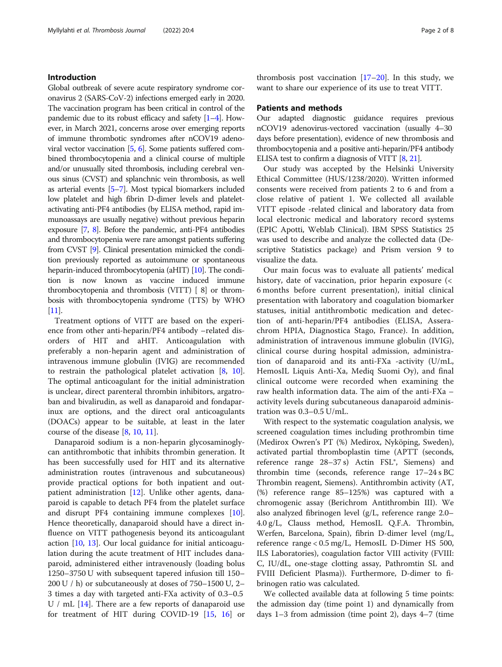# Introduction

Global outbreak of severe acute respiratory syndrome coronavirus 2 (SARS-CoV-2) infections emerged early in 2020. The vaccination program has been critical in control of the pandemic due to its robust efficacy and safety [[1](#page-6-0)–[4\]](#page-6-0). However, in March 2021, concerns arose over emerging reports of immune thrombotic syndromes after nCOV19 adenoviral vector vaccination [\[5,](#page-6-0) [6\]](#page-6-0). Some patients suffered combined thrombocytopenia and a clinical course of multiple and/or unusually sited thrombosis, including cerebral venous sinus (CVST) and splanchnic vein thrombosis, as well as arterial events [\[5](#page-6-0)–[7](#page-6-0)]. Most typical biomarkers included low platelet and high fibrin D-dimer levels and plateletactivating anti-PF4 antibodies (by ELISA method, rapid immunoassays are usually negative) without previous heparin exposure [\[7,](#page-6-0) [8](#page-6-0)]. Before the pandemic, anti-PF4 antibodies and thrombocytopenia were rare amongst patients suffering from CVST [[9](#page-6-0)]. Clinical presentation mimicked the condition previously reported as autoimmune or spontaneous heparin-induced thrombocytopenia (aHIT) [\[10\]](#page-7-0). The condition is now known as vaccine induced immune thrombocytopenia and thrombosis (VITT) [ 8] or thrombosis with thrombocytopenia syndrome (TTS) by WHO [[11](#page-7-0)].

Treatment options of VITT are based on the experience from other anti-heparin/PF4 antibody –related disorders of HIT and aHIT. Anticoagulation with preferably a non-heparin agent and administration of intravenous immune globulin (IVIG) are recommended to restrain the pathological platelet activation [\[8,](#page-6-0) [10](#page-7-0)]. The optimal anticoagulant for the initial administration is unclear, direct parenteral thrombin inhibitors, argatroban and bivalirudin, as well as danaparoid and fondaparinux are options, and the direct oral anticoagulants (DOACs) appear to be suitable, at least in the later course of the disease [[8,](#page-6-0) [10,](#page-7-0) [11](#page-7-0)].

Danaparoid sodium is a non-heparin glycosaminoglycan antithrombotic that inhibits thrombin generation. It has been successfully used for HIT and its alternative administration routes (intravenous and subcutaneous) provide practical options for both inpatient and outpatient administration [\[12\]](#page-7-0). Unlike other agents, danaparoid is capable to detach PF4 from the platelet surface and disrupt PF4 containing immune complexes [\[10](#page-7-0)]. Hence theoretically, danaparoid should have a direct influence on VITT pathogenesis beyond its anticoagulant action [\[10](#page-7-0), [13\]](#page-7-0). Our local guidance for initial anticoagulation during the acute treatment of HIT includes danaparoid, administered either intravenously (loading bolus 1250–3750 U with subsequent tapered infusion till 150– 200 U / h) or subcutaneously at doses of 750–1500 U, 2– 3 times a day with targeted anti-FXa activity of 0.3–0.5  $U / mL$  [\[14\]](#page-7-0). There are a few reports of danaparoid use for treatment of HIT during COVID-19 [[15,](#page-7-0) [16\]](#page-7-0) or

thrombosis post vaccination  $[17–20]$  $[17–20]$  $[17–20]$  $[17–20]$  $[17–20]$ . In this study, we want to share our experience of its use to treat VITT.

# Patients and methods

Our adapted diagnostic guidance requires previous nCOV19 adenovirus-vectored vaccination (usually 4–30 days before presentation), evidence of new thrombosis and thrombocytopenia and a positive anti-heparin/PF4 antibody ELISA test to confirm a diagnosis of VITT [[8](#page-6-0), [21](#page-7-0)].

Our study was accepted by the Helsinki University Ethical Committee (HUS/1238/2020). Written informed consents were received from patients 2 to 6 and from a close relative of patient 1. We collected all available VITT episode -related clinical and laboratory data from local electronic medical and laboratory record systems (EPIC Apotti, Weblab Clinical). IBM SPSS Statistics 25 was used to describe and analyze the collected data (Descriptive Statistics package) and Prism version 9 to visualize the data.

Our main focus was to evaluate all patients' medical history, date of vaccination, prior heparin exposure (< 6 months before current presentation), initial clinical presentation with laboratory and coagulation biomarker statuses, initial antithrombotic medication and detection of anti-heparin/PF4 antibodies (ELISA, Asserachrom HPIA, Diagnostica Stago, France). In addition, administration of intravenous immune globulin (IVIG), clinical course during hospital admission, administration of danaparoid and its anti-FXa -activity (U/mL, HemosIL Liquis Anti-Xa, Mediq Suomi Oy), and final clinical outcome were recorded when examining the raw health information data. The aim of the anti-FXa – activity levels during subcutaneous danaparoid administration was 0.3–0.5 U/mL.

With respect to the systematic coagulation analysis, we screened coagulation times including prothrombin time (Medirox Owren's PT (%) Medirox, Nyköping, Sweden), activated partial thromboplastin time (APTT (seconds, reference range 28–37 s) Actin FSL®, Siemens) and thrombin time (seconds, reference range 17–24 s BC Thrombin reagent, Siemens). Antithrombin activity (AT, (%) reference range 85–125%) was captured with a chromogenic assay (Berichrom Antithrombin III). We also analyzed fibrinogen level (g/L, reference range 2.0– 4.0 g/L, Clauss method, HemosIL Q.F.A. Thrombin, Werfen, Barcelona, Spain), fibrin D-dimer level (mg/L, reference range < 0.5 mg/L, HemosIL D-Dimer HS 500, ILS Laboratories), coagulation factor VIII activity (FVIII: C, IU/dL, one-stage clotting assay, Pathromtin SL and FVIII Deficient Plasma)). Furthermore, D-dimer to fibrinogen ratio was calculated.

We collected available data at following 5 time points: the admission day (time point 1) and dynamically from days 1–3 from admission (time point 2), days 4–7 (time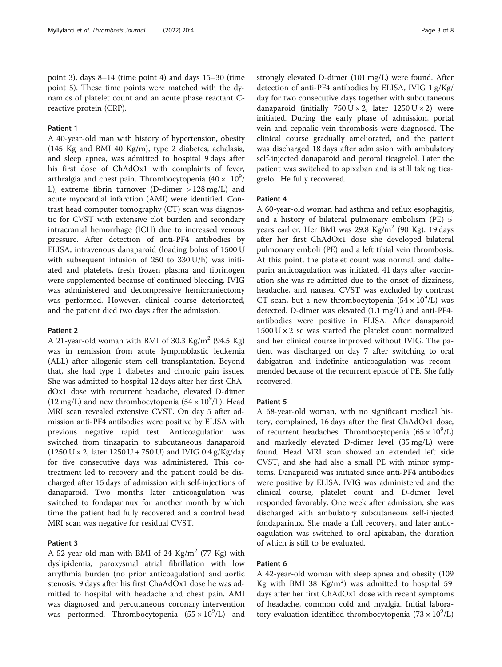point 3), days 8–14 (time point 4) and days 15–30 (time point 5). These time points were matched with the dynamics of platelet count and an acute phase reactant Creactive protein (CRP).

# Patient 1

A 40-year-old man with history of hypertension, obesity (145 Kg and BMI 40 Kg/m), type 2 diabetes, achalasia, and sleep apnea, was admitted to hospital 9 days after his first dose of ChAdOx1 with complaints of fever, arthralgia and chest pain. Thrombocytopenia  $(40\times~10^9/$ L), extreme fibrin turnover (D-dimer > 128 mg/L) and acute myocardial infarction (AMI) were identified. Contrast head computer tomography (CT) scan was diagnostic for CVST with extensive clot burden and secondary intracranial hemorrhage (ICH) due to increased venous pressure. After detection of anti-PF4 antibodies by ELISA, intravenous danaparoid (loading bolus of 1500 U with subsequent infusion of 250 to 330 U/h) was initiated and platelets, fresh frozen plasma and fibrinogen were supplemented because of continued bleeding. IVIG was administered and decompressive hemicraniectomy was performed. However, clinical course deteriorated, and the patient died two days after the admission.

# Patient 2

A 21-year-old woman with BMI of 30.3 Kg/m<sup>2</sup> (94.5 Kg) was in remission from acute lymphoblastic leukemia (ALL) after allogenic stem cell transplantation. Beyond that, she had type 1 diabetes and chronic pain issues. She was admitted to hospital 12 days after her first ChAdOx1 dose with recurrent headache, elevated D-dimer (12 mg/L) and new thrombocytopenia ( $54 \times 10^9$ /L). Head MRI scan revealed extensive CVST. On day 5 after admission anti-PF4 antibodies were positive by ELISA with previous negative rapid test. Anticoagulation was switched from tinzaparin to subcutaneous danaparoid (1250 U  $\times$  2, later 1250 U + 750 U) and IVIG 0.4 g/Kg/day for five consecutive days was administered. This cotreatment led to recovery and the patient could be discharged after 15 days of admission with self-injections of danaparoid. Two months later anticoagulation was switched to fondaparinux for another month by which time the patient had fully recovered and a control head MRI scan was negative for residual CVST.

# Patient 3

A 52-year-old man with BMI of 24 Kg/m<sup>2</sup> (77 Kg) with dyslipidemia, paroxysmal atrial fibrillation with low arrythmia burden (no prior anticoagulation) and aortic stenosis. 9 days after his first ChaAdOx1 dose he was admitted to hospital with headache and chest pain. AMI was diagnosed and percutaneous coronary intervention was performed. Thrombocytopenia  $(55 \times 10^9$ /L) and

strongly elevated D-dimer (101 mg/L) were found. After detection of anti-PF4 antibodies by ELISA, IVIG 1 g/Kg/ day for two consecutive days together with subcutaneous danaparoid (initially  $750 U \times 2$ , later  $1250 U \times 2$ ) were initiated. During the early phase of admission, portal vein and cephalic vein thrombosis were diagnosed. The clinical course gradually ameliorated, and the patient was discharged 18 days after admission with ambulatory self-injected danaparoid and peroral ticagrelol. Later the patient was switched to apixaban and is still taking ticagrelol. He fully recovered.

# Patient 4

A 60-year-old woman had asthma and reflux esophagitis, and a history of bilateral pulmonary embolism (PE) 5 years earlier. Her BMI was 29.8 Kg/m<sup>2</sup> (90 Kg). 19 days after her first ChAdOx1 dose she developed bilateral pulmonary emboli (PE) and a left tibial vein thrombosis. At this point, the platelet count was normal, and dalteparin anticoagulation was initiated. 41 days after vaccination she was re-admitted due to the onset of dizziness, headache, and nausea. CVST was excluded by contrast CT scan, but a new thrombocytopenia  $(54 \times 10^9$ /L) was detected. D-dimer was elevated (1.1 mg/L) and anti-PF4 antibodies were positive in ELISA. After danaparoid  $1500$  U  $\times$  2 sc was started the platelet count normalized and her clinical course improved without IVIG. The patient was discharged on day 7 after switching to oral dabigatran and indefinite anticoagulation was recommended because of the recurrent episode of PE. She fully recovered.

# Patient 5

A 68-year-old woman, with no significant medical history, complained, 16 days after the first ChAdOx1 dose, of recurrent headaches. Thrombocytopenia  $(65 \times 10^9/L)$ and markedly elevated D-dimer level (35 mg/L) were found. Head MRI scan showed an extended left side CVST, and she had also a small PE with minor symptoms. Danaparoid was initiated since anti-PF4 antibodies were positive by ELISA. IVIG was administered and the clinical course, platelet count and D-dimer level responded favorably. One week after admission, she was discharged with ambulatory subcutaneous self-injected fondaparinux. She made a full recovery, and later anticoagulation was switched to oral apixaban, the duration of which is still to be evaluated.

# Patient 6

A 42-year-old woman with sleep apnea and obesity (109 Kg with BMI 38  $Kg/m<sup>2</sup>$ ) was admitted to hospital 59 days after her first ChAdOx1 dose with recent symptoms of headache, common cold and myalgia. Initial laboratory evaluation identified thrombocytopenia  $(73 \times 10^9$ /L)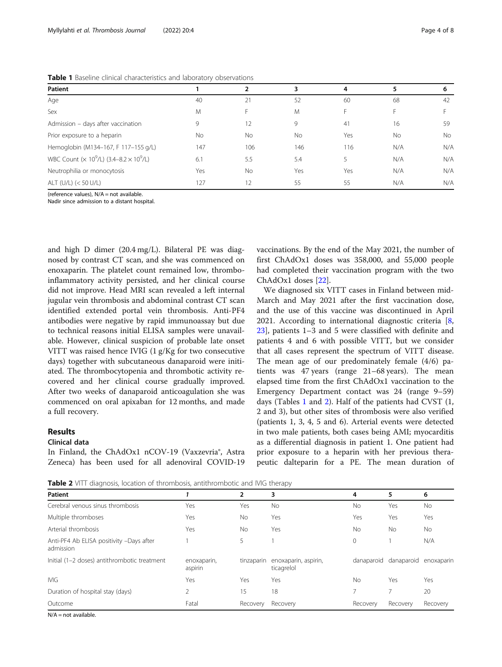| Patient                                                                        |     |           |           | 4   |     | 6         |
|--------------------------------------------------------------------------------|-----|-----------|-----------|-----|-----|-----------|
| Age                                                                            | 40  | 21        | 52        | 60  | 68  | 42        |
| Sex                                                                            | M   |           | M         |     |     |           |
| Admission - days after vaccination                                             | 9   | 12        | 9         | 41  | 16  | 59        |
| Prior exposure to a heparin                                                    | No  | <b>No</b> | <b>No</b> | Yes | No  | <b>No</b> |
| Hemoglobin (M134-167, F 117-155 g/L)                                           | 147 | 106       | 146       | 116 | N/A | N/A       |
| WBC Count ( $\times$ 10 <sup>9</sup> /L) (3.4–8.2 $\times$ 10 <sup>9</sup> /L) | 6.1 | 5.5       | 5.4       |     | N/A | N/A       |
| Neutrophilia or monocytosis                                                    | Yes | No.       | Yes       | Yes | N/A | N/A       |
| ALT (U/L) (< 50 U/L)                                                           | 127 | 12        | 55        | -55 | N/A | N/A       |

<span id="page-3-0"></span>Table 1 Baseline clinical characteristics and laboratory observations

(reference values), N/A = not available.

Nadir since admission to a distant hospital.

and high D dimer (20.4 mg/L). Bilateral PE was diagnosed by contrast CT scan, and she was commenced on enoxaparin. The platelet count remained low, thromboinflammatory activity persisted, and her clinical course did not improve. Head MRI scan revealed a left internal jugular vein thrombosis and abdominal contrast CT scan identified extended portal vein thrombosis. Anti-PF4 antibodies were negative by rapid immunoassay but due to technical reasons initial ELISA samples were unavailable. However, clinical suspicion of probable late onset VITT was raised hence IVIG (1 g/Kg for two consecutive days) together with subcutaneous danaparoid were initiated. The thrombocytopenia and thrombotic activity recovered and her clinical course gradually improved. After two weeks of danaparoid anticoagulation she was commenced on oral apixaban for 12 months, and made a full recovery.

# Results

# Clinical data

In Finland, the ChAdOx1 nCOV-19 (Vaxzevria®, Astra Zeneca) has been used for all adenoviral COVID-19

vaccinations. By the end of the May 2021, the number of first ChAdOx1 doses was 358,000, and 55,000 people had completed their vaccination program with the two ChAdOx1 doses [[22](#page-7-0)].

We diagnosed six VITT cases in Finland between mid-March and May 2021 after the first vaccination dose, and the use of this vaccine was discontinued in April 2021. According to international diagnostic criteria  $[8, 8]$  $[8, 8]$  $[8, 8]$ [23\]](#page-7-0), patients 1–3 and 5 were classified with definite and patients 4 and 6 with possible VITT, but we consider that all cases represent the spectrum of VITT disease. The mean age of our predominately female (4/6) patients was 47 years (range 21–68 years). The mean elapsed time from the first ChAdOx1 vaccination to the Emergency Department contact was 24 (range 9–59) days (Tables 1 and 2). Half of the patients had CVST (1, 2 and 3), but other sites of thrombosis were also verified (patients 1, 3, 4, 5 and 6). Arterial events were detected in two male patients, both cases being AMI; myocarditis as a differential diagnosis in patient 1. One patient had prior exposure to a heparin with her previous therapeutic dalteparin for a PE. The mean duration of

Table 2 VITT diagnosis, location of thrombosis, antithrombotic and IVIG therapy

| <b>Patient</b>                                        |                        | 2          | 3                                  | 4              | 5          | 6          |
|-------------------------------------------------------|------------------------|------------|------------------------------------|----------------|------------|------------|
| Cerebral venous sinus thrombosis                      | Yes                    | Yes        | <b>No</b>                          | No             | Yes        | No.        |
| Multiple thromboses                                   | Yes                    | <b>No</b>  | Yes                                | Yes            | Yes        | Yes        |
| Arterial thrombosis                                   | Yes                    | No         | Yes                                | <b>No</b>      | <b>No</b>  | <b>No</b>  |
| Anti-PF4 Ab ELISA positivity -Days after<br>admission |                        | 5          |                                    | $\mathbf 0$    |            | N/A        |
| Initial (1-2 doses) antithrombotic treatment          | enoxaparin,<br>aspirin | tinzaparin | enoxaparin, aspirin,<br>ticagrelol | danaparoid     | danaparoid | enoxaparin |
| <b>IVIG</b>                                           | Yes                    | Yes        | Yes                                | No             | Yes        | Yes        |
| Duration of hospital stay (days)                      |                        | 15         | 18                                 | $\overline{ }$ |            | 20         |
| Outcome                                               | Fatal                  | Recovery   | Recovery                           | Recovery       | Recovery   | Recovery   |

 $N/A = not available$ .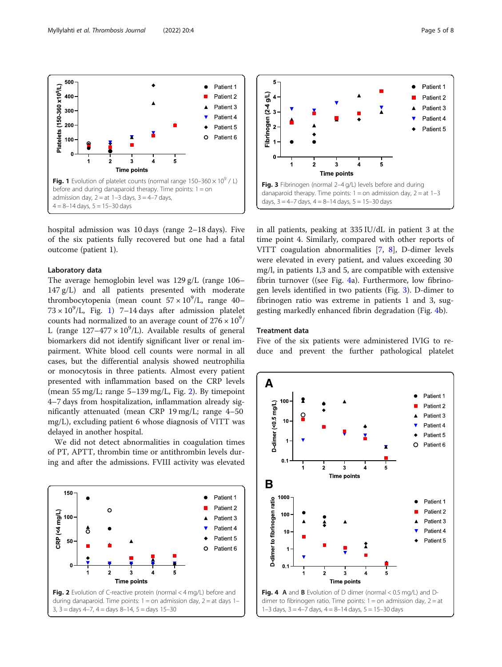

hospital admission was 10 days (range 2–18 days). Five of the six patients fully recovered but one had a fatal outcome (patient 1).

# Laboratory data

The average hemoglobin level was 129 g/L (range 106– 147 g/L) and all patients presented with moderate thrombocytopenia (mean count  $57 \times 10^9$ /L, range 40–  $73 \times 10^9$ /L, Fig. 1) 7-14 days after admission platelet counts had normalized to an average count of  $276 \times 10^9/$ L (range  $127-477 \times 10^9$ /L). Available results of general biomarkers did not identify significant liver or renal impairment. White blood cell counts were normal in all cases, but the differential analysis showed neutrophilia or monocytosis in three patients. Almost every patient presented with inflammation based on the CRP levels (mean 55 mg/L; range 5–139 mg/L, Fig. 2). By timepoint 4–7 days from hospitalization, inflammation already significantly attenuated (mean CRP 19 mg/L; range 4–50 mg/L), excluding patient 6 whose diagnosis of VITT was delayed in another hospital.

We did not detect abnormalities in coagulation times of PT, APTT, thrombin time or antithrombin levels during and after the admissions. FVIII activity was elevated





in all patients, peaking at 335 IU/dL in patient 3 at the time point 4. Similarly, compared with other reports of VITT coagulation abnormalities [[7,](#page-6-0) [8](#page-6-0)], D-dimer levels were elevated in every patient, and values exceeding 30 mg/l, in patients 1,3 and 5, are compatible with extensive fibrin turnover ((see Fig. 4a). Furthermore, low fibrinogen levels identified in two patients (Fig. 3). D-dimer to fibrinogen ratio was extreme in patients 1 and 3, suggesting markedly enhanced fibrin degradation (Fig. 4b).

# Treatment data

Five of the six patients were administered IVIG to reduce and prevent the further pathological platelet



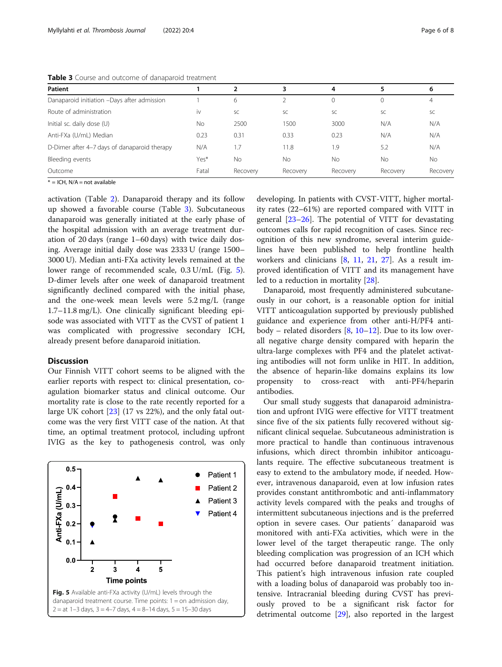Table 3 Course and outcome of danaparoid treatment

| <b>Patient</b>                               |       |          | 3         | 4         |          | 6              |
|----------------------------------------------|-------|----------|-----------|-----------|----------|----------------|
| Danaparoid initiation -Days after admission  |       | 6        |           | 0         |          | $\overline{4}$ |
| Route of administration                      | iv    | SC       | SC        | <b>SC</b> | SC       | SC             |
| Initial sc. daily dose (U)                   | No    | 2500     | 1500      | 3000      | N/A      | N/A            |
| Anti-FXa (U/mL) Median                       | 0.23  | 0.31     | 0.33      | 0.23      | N/A      | N/A            |
| D-Dimer after 4-7 days of danaparoid therapy | N/A   | .7       | 11.8      | .9        | 5.2      | N/A            |
| Bleeding events                              | Yes*  | No       | <b>No</b> | No        | No       | No             |
| Outcome                                      | Fatal | Recovery | Recovery  | Recovery  | Recovery | Recovery       |

 $* = ICH$ , N/A = not available

activation (Table [2](#page-3-0)). Danaparoid therapy and its follow up showed a favorable course (Table 3). Subcutaneous danaparoid was generally initiated at the early phase of the hospital admission with an average treatment duration of 20 days (range 1–60 days) with twice daily dosing. Average initial daily dose was 2333 U (range 1500– 3000 U). Median anti-FXa activity levels remained at the lower range of recommended scale, 0.3 U/mL (Fig. 5). D-dimer levels after one week of danaparoid treatment significantly declined compared with the initial phase, and the one-week mean levels were 5.2 mg/L (range 1.7–11.8 mg/L). One clinically significant bleeding episode was associated with VITT as the CVST of patient 1 was complicated with progressive secondary ICH, already present before danaparoid initiation.

# Discussion

Our Finnish VITT cohort seems to be aligned with the earlier reports with respect to: clinical presentation, coagulation biomarker status and clinical outcome. Our mortality rate is close to the rate recently reported for a large UK cohort [\[23](#page-7-0)] (17 vs 22%), and the only fatal outcome was the very first VITT case of the nation. At that time, an optimal treatment protocol, including upfront IVIG as the key to pathogenesis control, was only



developing. In patients with CVST-VITT, higher mortality rates (22–61%) are reported compared with VITT in general [[23](#page-7-0)–[26](#page-7-0)]. The potential of VITT for devastating outcomes calls for rapid recognition of cases. Since recognition of this new syndrome, several interim guidelines have been published to help frontline health workers and clinicians  $[8, 11, 21, 27]$  $[8, 11, 21, 27]$  $[8, 11, 21, 27]$  $[8, 11, 21, 27]$  $[8, 11, 21, 27]$  $[8, 11, 21, 27]$  $[8, 11, 21, 27]$  $[8, 11, 21, 27]$ . As a result improved identification of VITT and its management have led to a reduction in mortality [[28\]](#page-7-0).

Danaparoid, most frequently administered subcutaneously in our cohort, is a reasonable option for initial VITT anticoagulation supported by previously published guidance and experience from other anti-H/PF4 antibody – related disorders  $[8, 10-12]$  $[8, 10-12]$  $[8, 10-12]$  $[8, 10-12]$  $[8, 10-12]$  $[8, 10-12]$ . Due to its low overall negative charge density compared with heparin the ultra-large complexes with PF4 and the platelet activating antibodies will not form unlike in HIT. In addition, the absence of heparin-like domains explains its low propensity to cross-react with anti-PF4/heparin antibodies.

Our small study suggests that danaparoid administration and upfront IVIG were effective for VITT treatment since five of the six patients fully recovered without significant clinical sequelae. Subcutaneous administration is more practical to handle than continuous intravenous infusions, which direct thrombin inhibitor anticoagulants require. The effective subcutaneous treatment is easy to extend to the ambulatory mode, if needed. However, intravenous danaparoid, even at low infusion rates provides constant antithrombotic and anti-inflammatory activity levels compared with the peaks and troughs of intermittent subcutaneous injections and is the preferred option in severe cases. Our patients´ danaparoid was monitored with anti-FXa activities, which were in the lower level of the target therapeutic range. The only bleeding complication was progression of an ICH which had occurred before danaparoid treatment initiation. This patient's high intravenous infusion rate coupled with a loading bolus of danaparoid was probably too intensive. Intracranial bleeding during CVST has previously proved to be a significant risk factor for detrimental outcome [[29](#page-7-0)], also reported in the largest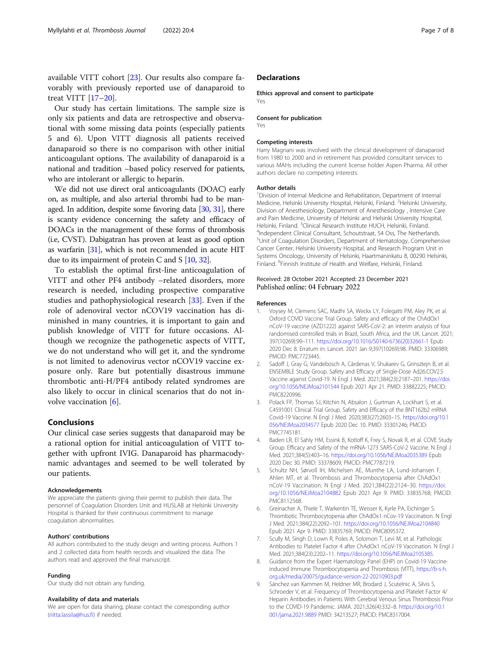<span id="page-6-0"></span>available VITT cohort [\[23\]](#page-7-0). Our results also compare favorably with previously reported use of danaparoid to treat VITT [[17](#page-7-0)–[20](#page-7-0)].

Our study has certain limitations. The sample size is only six patients and data are retrospective and observational with some missing data points (especially patients 5 and 6). Upon VITT diagnosis all patients received danaparoid so there is no comparison with other initial anticoagulant options. The availability of danaparoid is a national and tradition –based policy reserved for patients, who are intolerant or allergic to heparin.

We did not use direct oral anticoagulants (DOAC) early on, as multiple, and also arterial thrombi had to be managed. In addition, despite some favoring data [[30](#page-7-0), [31](#page-7-0)], there is scanty evidence concerning the safety and efficacy of DOACs in the management of these forms of thrombosis (i.e, CVST). Dabigatran has proven at least as good option as warfarin [\[31](#page-7-0)], which is not recommended in acute HIT due to its impairment of protein C and S [\[10,](#page-7-0) [32\]](#page-7-0).

To establish the optimal first-line anticoagulation of VITT and other PF4 antibody –related disorders, more research is needed, including prospective comparative studies and pathophysiological research [[33\]](#page-7-0). Even if the role of adenoviral vector nCOV19 vaccination has diminished in many countries, it is important to gain and publish knowledge of VITT for future occasions. Although we recognize the pathogenetic aspects of VITT, we do not understand who will get it, and the syndrome is not limited to adenovirus vector nCOV19 vaccine exposure only. Rare but potentially disastrous immune thrombotic anti-H/PF4 antibody related syndromes are also likely to occur in clinical scenarios that do not involve vaccination [6].

# Conclusions

Our clinical case series suggests that danaparoid may be a rational option for initial anticoagulation of VITT together with upfront IVIG. Danaparoid has pharmacodynamic advantages and seemed to be well tolerated by our patients.

# Acknowledgements

We appreciate the patients giving their permit to publish their data. The personnel of Coagulation Disorders Unit and HUSLAB at Helsinki University Hospital is thanked for their continuous commitment to manage coagulation abnormalities.

# Authors' contributions

All authors contributed to the study design and writing process. Authors 1 and 2 collected data from health records and visualized the data. The authors read and approved the final manuscript.

## Funding

Our study did not obtain any funding.

# Availability of data and materials

We are open for data sharing, please contact the corresponding author ([riitta.lassila@hus.fi\)](mailto:riitta.lassila@hus.fi) if needed.

# **Declarations**

Ethics approval and consent to participate Yes

# Consent for publication

Yes

# Competing interests

Harry Magnani was involved with the clinical development of danaparoid from 1980 to 2000 and in retirement has provided consultant services to various MAHs including the current license holder Aspen Pharma. All other authors declare no competing interests.

# Author details

<sup>1</sup> Division of Internal Medicine and Rehabilitation, Department of Internal Medicine, Helsinki University Hospital, Helsinki, Finland. <sup>2</sup>Helsinki University, Division of Anesthesiology, Department of Anesthesiology , Intensive Care and Pain Medicine, University of Helsinki and Helsinki University Hospital, Helsinki, Finland. <sup>3</sup>Clinical Research Institute HUCH, Helsinki, Finland.<br><sup>4</sup>Independent Clinical Consultant, Schoutstraat, 54 Oss. The Notberli <sup>4</sup>Independent Clinical Consultant, Schoutstraat, 54 Oss, The Netherlands. 5 Unit of Coagulation Disorders, Department of Hematology, Comprehensive Cancer Center, Helsinki University Hospital, and Research Program Unit in Systems Oncology, University of Helsinki, Haartmaninkatu 8, 00290 Helsinki, Finland. <sup>6</sup>Finnish Institute of Health and Welfare, Helsinki, Finland

# Received: 28 October 2021 Accepted: 23 December 2021 Published online: 04 February 2022

#### References

- Voysey M, Clemens SAC, Madhi SA, Weckx LY, Folegatti PM, Aley PK, et al. Oxford COVID Vaccine Trial Group. Safety and efficacy of the ChAdOx1 nCoV-19 vaccine (AZD1222) against SARS-CoV-2: an interim analysis of four randomised controlled trials in Brazil, South Africa, and the UK. Lancet. 2021; 397(10269):99–111. [https://doi.org/10.1016/S0140-6736\(20\)32661-1](https://doi.org/10.1016/S0140-6736(20)32661-1) Epub 2020 Dec 8. Erratum in: Lancet. 2021 Jan 9;397(10269):98. PMID: 33306989; PMCID: PMC7723445.
- 2. Sadoff J, Gray G, Vandebosch A, Cárdenas V, Shukarev G, Grinsztejn B, et al. ENSEMBLE Study Group. Safety and Efficacy of Single-Dose Ad26.COV2.S Vaccine against Covid-19. N Engl J Med. 2021;384(23):2187–201. [https://doi.](https://doi.org/10.1056/NEJMoa2101544) [org/10.1056/NEJMoa2101544](https://doi.org/10.1056/NEJMoa2101544) Epub 2021 Apr 21. PMID: 33882225; PMCID: PMC8220996.
- 3. Polack FP, Thomas SJ, Kitchin N, Absalon J, Gurtman A, Lockhart S, et al. C4591001 Clinical Trial Group. Safety and Efficacy of the BNT162b2 mRNA Covid-19 Vaccine. N Engl J Med. 2020;383(27):2603–15. [https://doi.org/10.1](https://doi.org/10.1056/NEJMoa2034577) [056/NEJMoa2034577](https://doi.org/10.1056/NEJMoa2034577) Epub 2020 Dec 10. PMID: 33301246; PMCID: PMC7745181.
- Baden LR, El Sahly HM, Essink B, Kotloff K, Frey S, Novak R, et al. COVE Study Group. Efficacy and Safety of the mRNA-1273 SARS-CoV-2 Vaccine. N Engl J Med. 2021;384(5):403–16. <https://doi.org/10.1056/NEJMoa2035389> Epub 2020 Dec 30. PMID: 33378609; PMCID: PMC7787219.
- 5. Schultz NH, Sørvoll IH, Michelsen AE, Munthe LA, Lund-Johansen F, Ahlen MT, et al. Thrombosis and Thrombocytopenia after ChAdOx1 nCoV-19 Vaccination. N Engl J Med. 2021;384(22):2124–30. [https://doi.](https://doi.org/10.1056/NEJMoa2104882) [org/10.1056/NEJMoa2104882](https://doi.org/10.1056/NEJMoa2104882) Epub 2021 Apr 9. PMID: 33835768; PMCID: PMC8112568.
- 6. Greinacher A, Thiele T, Warkentin TE, Weisser K, Kyrle PA, Eichinger S. Thrombotic Thrombocytopenia after ChAdOx1 nCov-19 Vaccination. N Engl J Med. 2021;384(22):2092–101. <https://doi.org/10.1056/NEJMoa2104840> Epub 2021 Apr 9. PMID: 33835769; PMCID: PMC8095372.
- 7. Scully M, Singh D, Lown R, Poles A, Solomon T, Levi M, et al. Pathologic Antibodies to Platelet Factor 4 after ChAdOx1 nCoV-19 Vaccination. N Engl J Med. 2021;384(23):2202–11. [https://doi.org/10.1056/NEJMoa2105385.](https://doi.org/10.1056/NEJMoa2105385)
- 8. Guidance from the Expert Haematology Panel (EHP) on Covid-19 Vaccineinduced Immune Thrombocytopenia and Thrombosis (VITT), [https://b-s-h.](https://b-s-h.org.uk/media/20075/guidance-version-22-20210903.pdf) [org.uk/media/20075/guidance-version-22-20210903.pdf](https://b-s-h.org.uk/media/20075/guidance-version-22-20210903.pdf)
- 9. Sánchez van Kammen M, Heldner MR, Brodard J, Scutelnic A, Silvis S, Schroeder V, et al. Frequency of Thrombocytopenia and Platelet Factor 4/ Heparin Antibodies in Patients With Cerebral Venous Sinus Thrombosis Prior to the COVID-19 Pandemic. JAMA. 2021;326(4):332–8. [https://doi.org/10.1](https://doi.org/10.1001/jama.2021.9889) [001/jama.2021.9889](https://doi.org/10.1001/jama.2021.9889) PMID: 34213527; PMCID: PMC8317004.